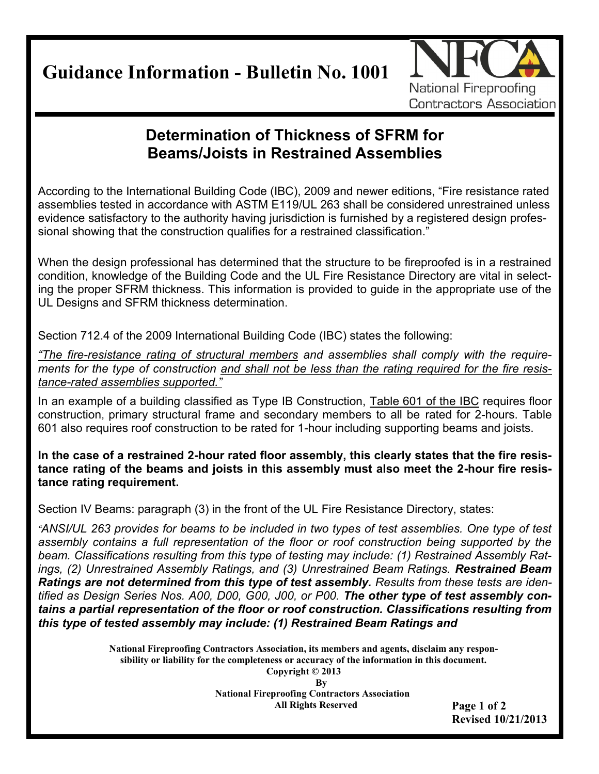**Guidance Information - Bulletin No. 1001**



## **Determination of Thickness of SFRM for Beams/Joists in Restrained Assemblies**

According to the International Building Code (IBC), 2009 and newer editions, "Fire resistance rated assemblies tested in accordance with ASTM E119/UL 263 shall be considered unrestrained unless evidence satisfactory to the authority having jurisdiction is furnished by a registered design professional showing that the construction qualifies for a restrained classification."

When the design professional has determined that the structure to be fireproofed is in a restrained condition, knowledge of the Building Code and the UL Fire Resistance Directory are vital in selecting the proper SFRM thickness. This information is provided to guide in the appropriate use of the UL Designs and SFRM thickness determination.

Section 712.4 of the 2009 International Building Code (IBC) states the following:

*"The fire-resistance rating of structural members and assemblies shall comply with the requirements for the type of construction and shall not be less than the rating required for the fire resistance-rated assemblies supported."*

In an example of a building classified as Type IB Construction, Table 601 of the IBC requires floor construction, primary structural frame and secondary members to all be rated for 2-hours. Table 601 also requires roof construction to be rated for 1-hour including supporting beams and joists.

**In the case of a restrained 2-hour rated floor assembly, this clearly states that the fire resistance rating of the beams and joists in this assembly must also meet the 2-hour fire resistance rating requirement.** 

Section IV Beams: paragraph (3) in the front of the UL Fire Resistance Directory, states:

*"ANSI/UL 263 provides for beams to be included in two types of test assemblies. One type of test assembly contains a full representation of the floor or roof construction being supported by the beam. Classifications resulting from this type of testing may include: (1) Restrained Assembly Ratings, (2) Unrestrained Assembly Ratings, and (3) Unrestrained Beam Ratings. Restrained Beam Ratings are not determined from this type of test assembly. Results from these tests are identified as Design Series Nos. A00, D00, G00, J00, or P00. The other type of test assembly contains a partial representation of the floor or roof construction. Classifications resulting from this type of tested assembly may include: (1) Restrained Beam Ratings and* 

> **National Fireproofing Contractors Association, its members and agents, disclaim any responsibility or liability for the completeness or accuracy of the information in this document. Copyright © 2013**

> > **By**

**National Fireproofing Contractors Association All Rights Reserved**

**Page 1 of 2 Revised 10/21/2013**